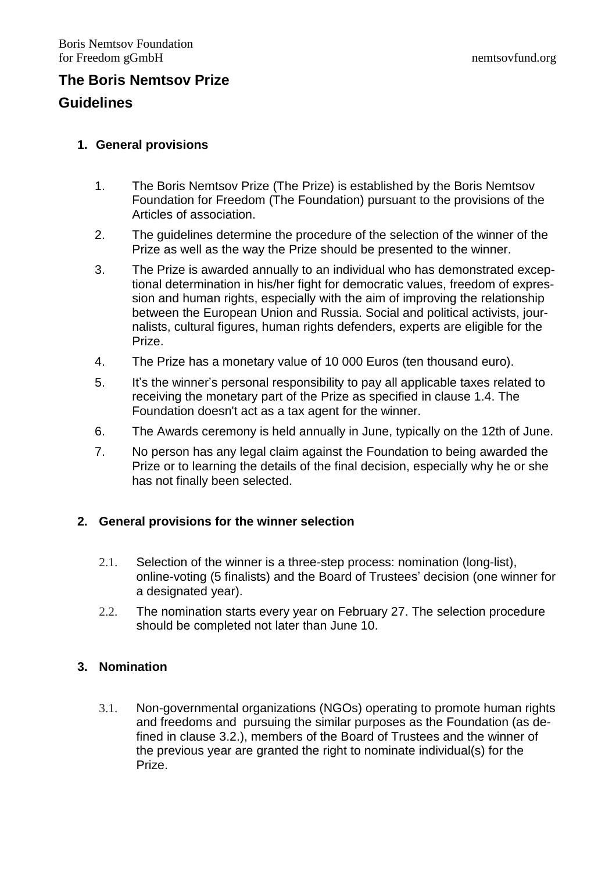## **The Boris Nemtsov Prize Guidelines**

# **1. General provisions**

- 1. The Boris Nemtsov Prize (The Prize) is established by the Boris Nemtsov Foundation for Freedom (The Foundation) pursuant to the provisions of the Articles of association.
- 2. The guidelines determine the procedure of the selection of the winner of the Prize as well as the way the Prize should be presented to the winner.
- 3. The Prize is awarded annually to an individual who has demonstrated exceptional determination in his/her fight for democratic values, freedom of expression and human rights, especially with the aim of improving the relationship between the European Union and Russia. Social and political activists, journalists, cultural figures, human rights defenders, experts are eligible for the Prize.
- 4. The Prize has a monetary value of 10 000 Euros (ten thousand euro).
- 5. It's the winner's personal responsibility to pay all applicable taxes related to receiving the monetary part of the Prize as specified in clause 1.4. The Foundation doesn't act as a tax agent for the winner.
- 6. The Awards ceremony is held annually in June, typically on the 12th of June.
- 7. No person has any legal claim against the Foundation to being awarded the Prize or to learning the details of the final decision, especially why he or she has not finally been selected.

### **2. General provisions for the winner selection**

- 2.1. Selection of the winner is a three-step process: nomination (long-list), online-voting (5 finalists) and the Board of Trustees' decision (one winner for a designated year).
- 2.2. The nomination starts every year on February 27. The selection procedure should be completed not later than June 10.

### **3. Nomination**

3.1. Non-governmental organizations (NGOs) operating to promote human rights and freedoms and pursuing the similar purposes as the Foundation (as defined in clause 3.2.), members of the Board of Trustees and the winner of the previous year are granted the right to nominate individual(s) for the Prize.